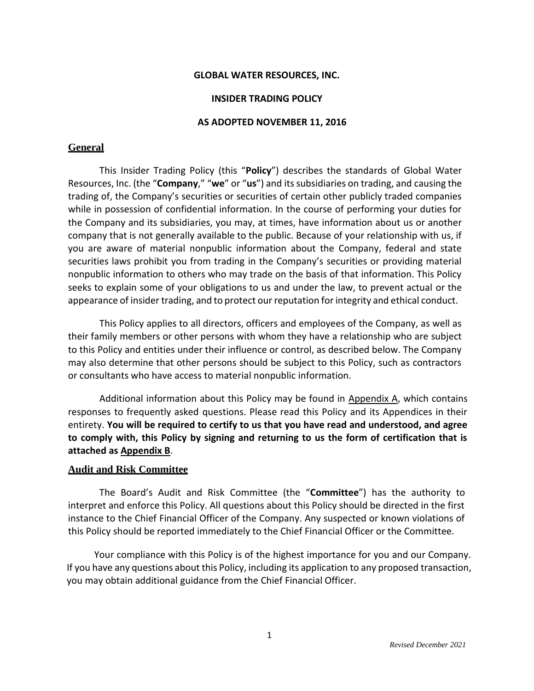#### **GLOBAL WATER RESOURCES, INC.**

#### **INSIDER TRADING POLICY**

#### **AS ADOPTED NOVEMBER 11, 2016**

#### **General**

This Insider Trading Policy (this "**Policy**") describes the standards of Global Water Resources, Inc. (the "**Company**," "**we**" or "**us**") and itssubsidiaries on trading, and causing the trading of, the Company's securities or securities of certain other publicly traded companies while in possession of confidential information. In the course of performing your duties for the Company and its subsidiaries, you may, at times, have information about us or another company that is not generally available to the public. Because of your relationship with us, if you are aware of material nonpublic information about the Company, federal and state securities laws prohibit you from trading in the Company's securities or providing material nonpublic information to others who may trade on the basis of that information. This Policy seeks to explain some of your obligations to us and under the law, to prevent actual or the appearance of insider trading, and to protect our reputation for integrity and ethical conduct.

This Policy applies to all directors, officers and employees of the Company, as well as their family members or other persons with whom they have a relationship who are subject to this Policy and entities under their influence or control, as described below. The Company may also determine that other persons should be subject to this Policy, such as contractors or consultants who have access to material nonpublic information.

Additional information about this Policy may be found in Appendix A, which contains responses to frequently asked questions. Please read this Policy and its Appendices in their entirety. **You will be required to certify to us that you have read and understood, and agree to comply with, this Policy by signing and returning to us the form of certification that is attached as Appendix B**.

#### **Audit and Risk Committee**

The Board's Audit and Risk Committee (the "**Committee**") has the authority to interpret and enforce this Policy. All questions about this Policy should be directed in the first instance to the Chief Financial Officer of the Company. Any suspected or known violations of this Policy should be reported immediately to the Chief Financial Officer or the Committee.

Your compliance with this Policy is of the highest importance for you and our Company. If you have any questions about this Policy, including its application to any proposed transaction, you may obtain additional guidance from the Chief Financial Officer.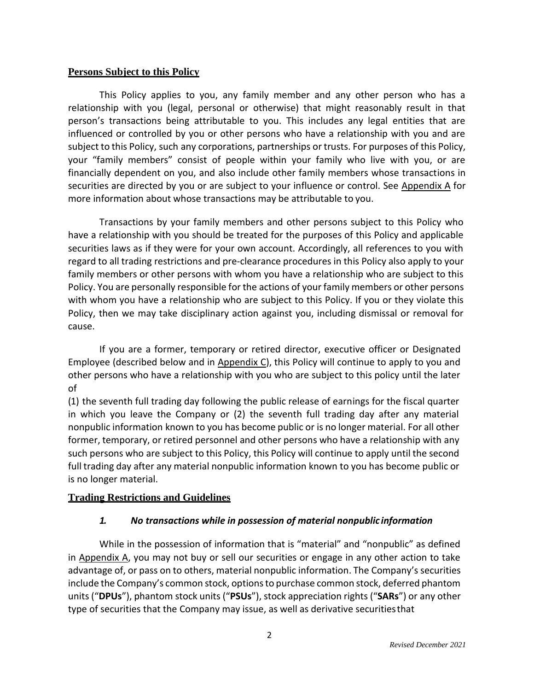## **Persons Subject to this Policy**

This Policy applies to you, any family member and any other person who has a relationship with you (legal, personal or otherwise) that might reasonably result in that person's transactions being attributable to you. This includes any legal entities that are influenced or controlled by you or other persons who have a relationship with you and are subject to this Policy, such any corporations, partnerships or trusts. For purposes of this Policy, your "family members" consist of people within your family who live with you, or are financially dependent on you, and also include other family members whose transactions in securities are directed by you or are subject to your influence or control. See Appendix A for more information about whose transactions may be attributable to you.

Transactions by your family members and other persons subject to this Policy who have a relationship with you should be treated for the purposes of this Policy and applicable securities laws as if they were for your own account. Accordingly, all references to you with regard to all trading restrictions and pre‐clearance procedures in this Policy also apply to your family members or other persons with whom you have a relationship who are subject to this Policy. You are personally responsible for the actions of your family members or other persons with whom you have a relationship who are subject to this Policy. If you or they violate this Policy, then we may take disciplinary action against you, including dismissal or removal for cause.

If you are a former, temporary or retired director, executive officer or Designated Employee (described below and in  $\Delta p$  Appendix C), this Policy will continue to apply to you and other persons who have a relationship with you who are subject to this policy until the later of

(1) the seventh full trading day following the public release of earnings for the fiscal quarter in which you leave the Company or (2) the seventh full trading day after any material nonpublic information known to you has become public or is no longer material. For all other former, temporary, or retired personnel and other persons who have a relationship with any such persons who are subject to this Policy, this Policy will continue to apply until the second full trading day after any material nonpublic information known to you has become public or is no longer material.

# **Trading Restrictions and Guidelines**

# *1. No transactions while in possession of material nonpublic information*

While in the possession of information that is "material" and "nonpublic" as defined in Appendix A, you may not buy or sell our securities or engage in any other action to take advantage of, or pass on to others, material nonpublic information. The Company's securities include the Company's common stock, options to purchase common stock, deferred phantom units ("**DPUs**"), phantom stock units ("**PSUs**"), stock appreciation rights ("**SARs**") or any other type of securities that the Company may issue, as well as derivative securitiesthat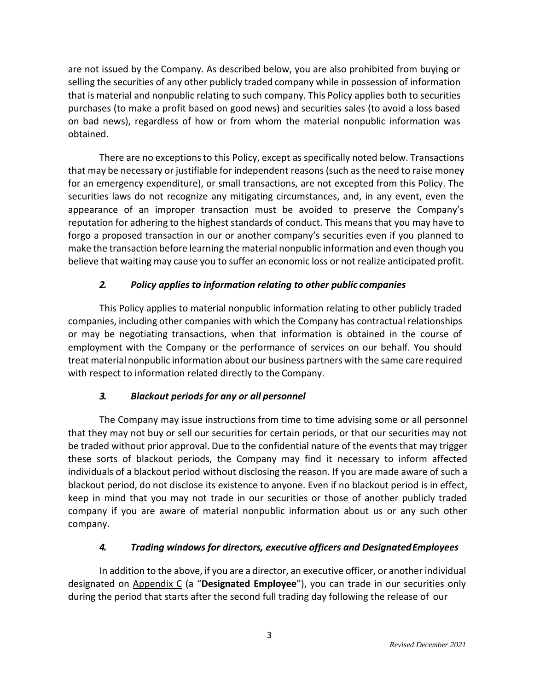are not issued by the Company. As described below, you are also prohibited from buying or selling the securities of any other publicly traded company while in possession of information that is material and nonpublic relating to such company. This Policy applies both to securities purchases (to make a profit based on good news) and securities sales (to avoid a loss based on bad news), regardless of how or from whom the material nonpublic information was obtained.

There are no exceptions to this Policy, except as specifically noted below. Transactions that may be necessary or justifiable for independent reasons(such asthe need to raise money for an emergency expenditure), or small transactions, are not excepted from this Policy. The securities laws do not recognize any mitigating circumstances, and, in any event, even the appearance of an improper transaction must be avoided to preserve the Company's reputation for adhering to the highest standards of conduct. This meansthat you may have to forgo a proposed transaction in our or another company's securities even if you planned to make the transaction before learning the material nonpublic information and even though you believe that waiting may cause you to suffer an economic loss or not realize anticipated profit.

# *2. Policy applies to information relating to other public companies*

This Policy applies to material nonpublic information relating to other publicly traded companies, including other companies with which the Company has contractual relationships or may be negotiating transactions, when that information is obtained in the course of employment with the Company or the performance of services on our behalf. You should treat material nonpublic information about our business partners with the same care required with respect to information related directly to the Company.

# *3. Blackout periods for any or all personnel*

The Company may issue instructions from time to time advising some or all personnel that they may not buy or sell our securities for certain periods, or that our securities may not be traded without prior approval. Due to the confidential nature of the events that may trigger these sorts of blackout periods, the Company may find it necessary to inform affected individuals of a blackout period without disclosing the reason. If you are made aware of such a blackout period, do not disclose its existence to anyone. Even if no blackout period is in effect, keep in mind that you may not trade in our securities or those of another publicly traded company if you are aware of material nonpublic information about us or any such other company.

# *4. Trading windows for directors, executive officers and DesignatedEmployees*

In addition to the above, if you are a director, an executive officer, or another individual designated on Appendix C (a "**Designated Employee**"), you can trade in our securities only during the period that starts after the second full trading day following the release of our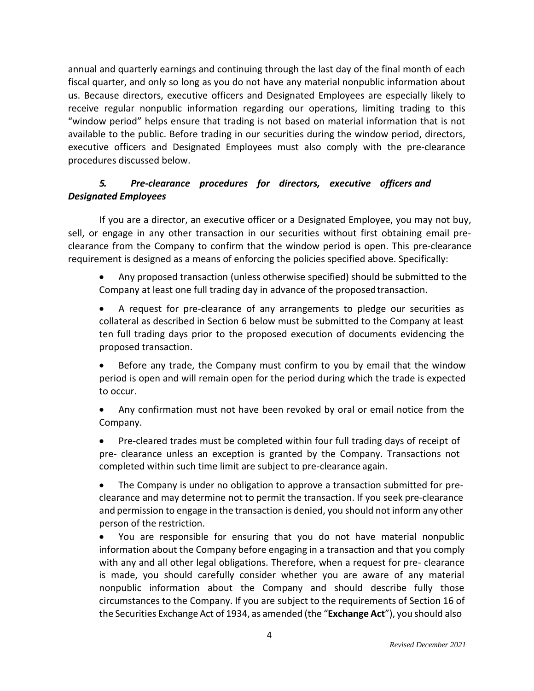annual and quarterly earnings and continuing through the last day of the final month of each fiscal quarter, and only so long as you do not have any material nonpublic information about us. Because directors, executive officers and Designated Employees are especially likely to receive regular nonpublic information regarding our operations, limiting trading to this "window period" helps ensure that trading is not based on material information that is not available to the public. Before trading in our securities during the window period, directors, executive officers and Designated Employees must also comply with the pre-clearance procedures discussed below.

# *5. Pre‐clearance procedures for directors, executive officers and Designated Employees*

If you are a director, an executive officer or a Designated Employee, you may not buy, sell, or engage in any other transaction in our securities without first obtaining email pre‐ clearance from the Company to confirm that the window period is open. This pre‐clearance requirement is designed as a means of enforcing the policies specified above. Specifically:

- Any proposed transaction (unless otherwise specified) should be submitted to the Company at least one full trading day in advance of the proposedtransaction.
- A request for pre-clearance of any arrangements to pledge our securities as collateral as described in Section 6 below must be submitted to the Company at least ten full trading days prior to the proposed execution of documents evidencing the proposed transaction.

• Before any trade, the Company must confirm to you by email that the window period is open and will remain open for the period during which the trade is expected to occur.

• Any confirmation must not have been revoked by oral or email notice from the Company.

• Pre-cleared trades must be completed within four full trading days of receipt of pre- clearance unless an exception is granted by the Company. Transactions not completed within such time limit are subject to pre-clearance again.

• The Company is under no obligation to approve a transaction submitted for preclearance and may determine not to permit the transaction. If you seek pre-clearance and permission to engage in the transaction is denied, you should not inform any other person of the restriction.

• You are responsible for ensuring that you do not have material nonpublic information about the Company before engaging in a transaction and that you comply with any and all other legal obligations. Therefore, when a request for pre- clearance is made, you should carefully consider whether you are aware of any material nonpublic information about the Company and should describe fully those circumstances to the Company. If you are subject to the requirements of Section 16 of the Securities Exchange Act of 1934, as amended (the "**Exchange Act**"), you should also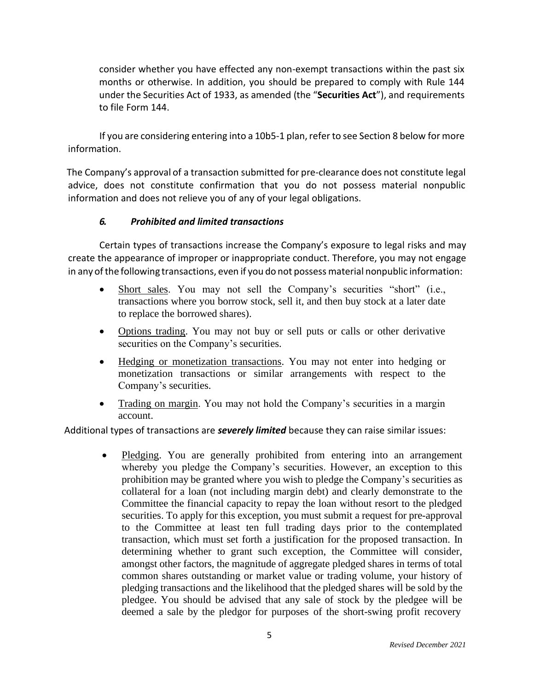consider whether you have effected any non-exempt transactions within the past six months or otherwise. In addition, you should be prepared to comply with Rule 144 under the Securities Act of 1933, as amended (the "**Securities Act**"), and requirements to file Form 144.

If you are considering entering into a 10b5-1 plan, refer to see Section 8 below for more information.

The Company's approval of a transaction submitted for pre‐clearance does not constitute legal advice, does not constitute confirmation that you do not possess material nonpublic information and does not relieve you of any of your legal obligations.

# *6. Prohibited and limited transactions*

Certain types of transactions increase the Company's exposure to legal risks and may create the appearance of improper or inappropriate conduct. Therefore, you may not engage in any of the following transactions, even if you do not possess material nonpublic information:

- Short sales. You may not sell the Company's securities "short" (i.e., transactions where you borrow stock, sell it, and then buy stock at a later date to replace the borrowed shares).
- Options trading. You may not buy or sell puts or calls or other derivative securities on the Company's securities.
- Hedging or monetization transactions. You may not enter into hedging or monetization transactions or similar arrangements with respect to the Company's securities.
- Trading on margin. You may not hold the Company's securities in a margin account.

Additional types of transactions are *severely limited* because they can raise similar issues:

• Pledging. You are generally prohibited from entering into an arrangement whereby you pledge the Company's securities. However, an exception to this prohibition may be granted where you wish to pledge the Company's securities as collateral for a loan (not including margin debt) and clearly demonstrate to the Committee the financial capacity to repay the loan without resort to the pledged securities. To apply for this exception, you must submit a request for pre-approval to the Committee at least ten full trading days prior to the contemplated transaction, which must set forth a justification for the proposed transaction. In determining whether to grant such exception, the Committee will consider, amongst other factors, the magnitude of aggregate pledged shares in terms of total common shares outstanding or market value or trading volume, your history of pledging transactions and the likelihood that the pledged shares will be sold by the pledgee. You should be advised that any sale of stock by the pledgee will be deemed a sale by the pledgor for purposes of the short-swing profit recovery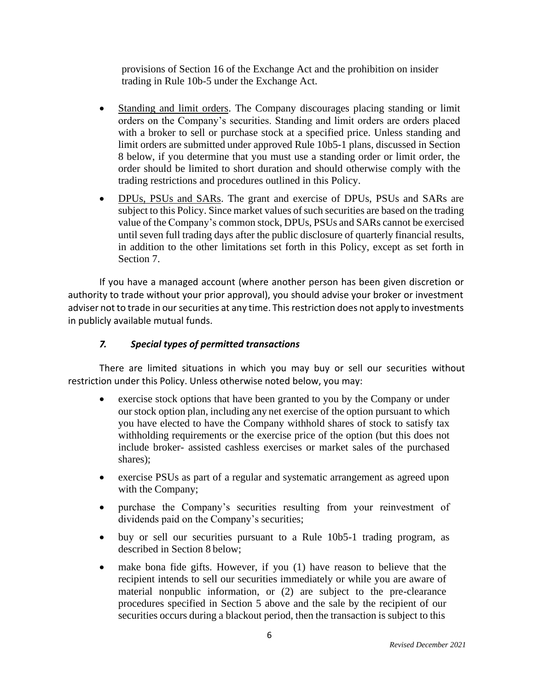provisions of Section 16 of the Exchange Act and the prohibition on insider trading in Rule 10b-5 under the Exchange Act.

- Standing and limit orders. The Company discourages placing standing or limit orders on the Company's securities. Standing and limit orders are orders placed with a broker to sell or purchase stock at a specified price. Unless standing and limit orders are submitted under approved Rule 10b5-1 plans, discussed in Section 8 below, if you determine that you must use a standing order or limit order, the order should be limited to short duration and should otherwise comply with the trading restrictions and procedures outlined in this Policy.
- DPUs, PSUs and SARs. The grant and exercise of DPUs, PSUs and SARs are subject to this Policy. Since market values of such securities are based on the trading value of the Company's common stock, DPUs, PSUs and SARs cannot be exercised until seven full trading days after the public disclosure of quarterly financial results, in addition to the other limitations set forth in this Policy, except as set forth in Section 7.

If you have a managed account (where another person has been given discretion or authority to trade without your prior approval), you should advise your broker or investment adviser not to trade in our securities at any time. This restriction does not apply to investments in publicly available mutual funds.

# *7. Special types of permitted transactions*

There are limited situations in which you may buy or sell our securities without restriction under this Policy. Unless otherwise noted below, you may:

- exercise stock options that have been granted to you by the Company or under our stock option plan, including any net exercise of the option pursuant to which you have elected to have the Company withhold shares of stock to satisfy tax withholding requirements or the exercise price of the option (but this does not include broker- assisted cashless exercises or market sales of the purchased shares);
- exercise PSUs as part of a regular and systematic arrangement as agreed upon with the Company;
- purchase the Company's securities resulting from your reinvestment of dividends paid on the Company's securities;
- buy or sell our securities pursuant to a Rule 10b5-1 trading program, as described in Section 8 below;
- make bona fide gifts. However, if you (1) have reason to believe that the recipient intends to sell our securities immediately or while you are aware of material nonpublic information, or (2) are subject to the pre-clearance procedures specified in Section 5 above and the sale by the recipient of our securities occurs during a blackout period, then the transaction is subject to this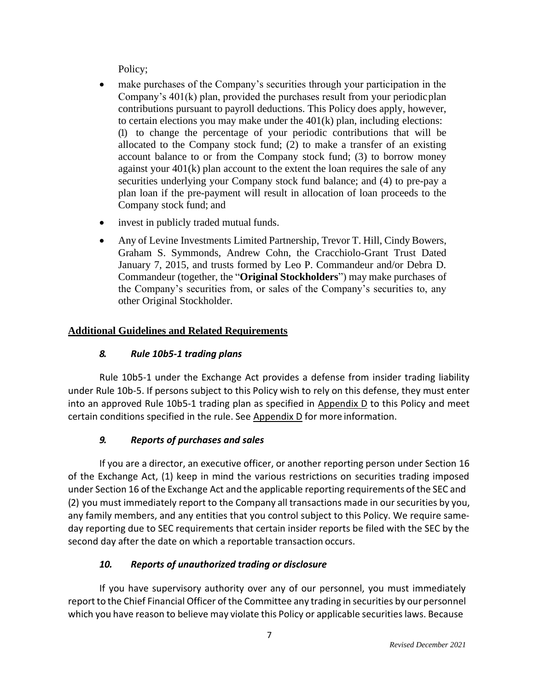Policy;

- make purchases of the Company's securities through your participation in the Company's 401(k) plan, provided the purchases result from your periodicplan contributions pursuant to payroll deductions. This Policy does apply, however, to certain elections you may make under the 401(k) plan, including elections: (1) to change the percentage of your periodic contributions that will be allocated to the Company stock fund; (2) to make a transfer of an existing account balance to or from the Company stock fund; (3) to borrow money against your 401(k) plan account to the extent the loan requires the sale of any securities underlying your Company stock fund balance; and (4) to pre-pay a plan loan if the pre-payment will result in allocation of loan proceeds to the Company stock fund; and
- invest in publicly traded mutual funds.
- Any of Levine Investments Limited Partnership, Trevor T. Hill, Cindy Bowers, Graham S. Symmonds, Andrew Cohn, the Cracchiolo-Grant Trust Dated January 7, 2015, and trusts formed by Leo P. Commandeur and/or Debra D. Commandeur (together, the "**Original Stockholders**") may make purchases of the Company's securities from, or sales of the Company's securities to, any other Original Stockholder.

# **Additional Guidelines and Related Requirements**

# *8. Rule 10b5‐1 trading plans*

Rule 10b5-1 under the Exchange Act provides a defense from insider trading liability under Rule 10b‐5. If persons subject to this Policy wish to rely on this defense, they must enter into an approved Rule 10b5‐1 trading plan as specified in Appendix D to this Policy and meet certain conditions specified in the rule. See Appendix D for more information.

# *9. Reports of purchases and sales*

If you are a director, an executive officer, or another reporting person under Section 16 of the Exchange Act, (1) keep in mind the various restrictions on securities trading imposed under Section 16 of the Exchange Act and the applicable reporting requirements of the SEC and (2) you must immediately report to the Company all transactions made in our securities by you, any family members, and any entities that you control subject to this Policy. We require same‐ day reporting due to SEC requirements that certain insider reports be filed with the SEC by the second day after the date on which a reportable transaction occurs.

# *10. Reports of unauthorized trading or disclosure*

If you have supervisory authority over any of our personnel, you must immediately report to the Chief Financial Officer of the Committee any trading in securities by our personnel which you have reason to believe may violate this Policy or applicable securities laws. Because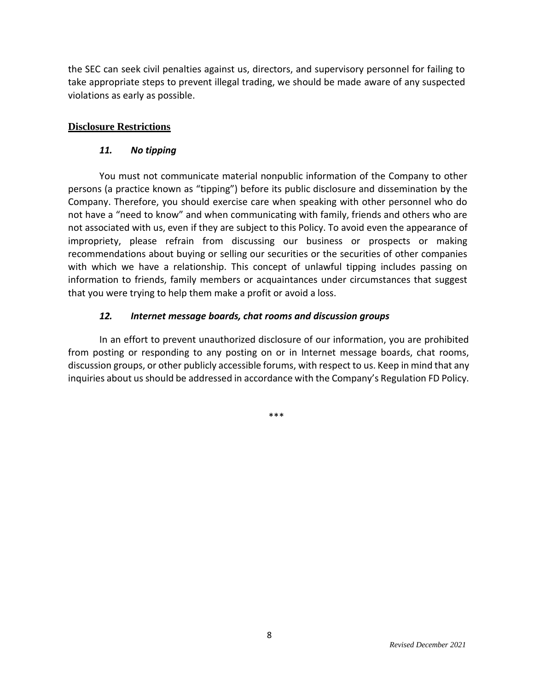the SEC can seek civil penalties against us, directors, and supervisory personnel for failing to take appropriate steps to prevent illegal trading, we should be made aware of any suspected violations as early as possible.

# **Disclosure Restrictions**

## *11. No tipping*

You must not communicate material nonpublic information of the Company to other persons (a practice known as "tipping") before its public disclosure and dissemination by the Company. Therefore, you should exercise care when speaking with other personnel who do not have a "need to know" and when communicating with family, friends and others who are not associated with us, even if they are subject to this Policy. To avoid even the appearance of impropriety, please refrain from discussing our business or prospects or making recommendations about buying or selling our securities or the securities of other companies with which we have a relationship. This concept of unlawful tipping includes passing on information to friends, family members or acquaintances under circumstances that suggest that you were trying to help them make a profit or avoid a loss.

# *12. Internet message boards, chat rooms and discussion groups*

In an effort to prevent unauthorized disclosure of our information, you are prohibited from posting or responding to any posting on or in Internet message boards, chat rooms, discussion groups, or other publicly accessible forums, with respect to us. Keep in mind that any inquiries about us should be addressed in accordance with the Company's Regulation FD Policy.

\*\*\*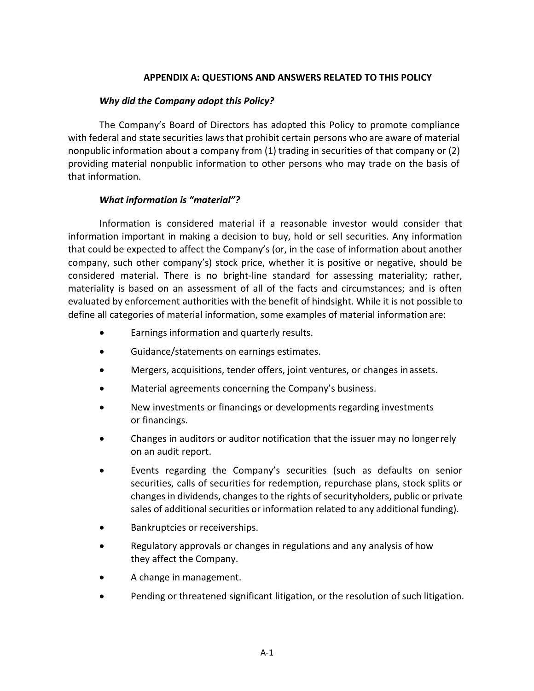## **APPENDIX A: QUESTIONS AND ANSWERS RELATED TO THIS POLICY**

### *Why did the Company adopt this Policy?*

The Company's Board of Directors has adopted this Policy to promote compliance with federal and state securities laws that prohibit certain persons who are aware of material nonpublic information about a company from (1) trading in securities of that company or (2) providing material nonpublic information to other persons who may trade on the basis of that information.

## *What information is "material"?*

Information is considered material if a reasonable investor would consider that information important in making a decision to buy, hold or sell securities. Any information that could be expected to affect the Company's (or, in the case of information about another company, such other company's) stock price, whether it is positive or negative, should be considered material. There is no bright-line standard for assessing materiality; rather, materiality is based on an assessment of all of the facts and circumstances; and is often evaluated by enforcement authorities with the benefit of hindsight. While it is not possible to define all categories of material information, some examples of material informationare:

- Earnings information and quarterly results.
- Guidance/statements on earnings estimates.
- Mergers, acquisitions, tender offers, joint ventures, or changes inassets.
- Material agreements concerning the Company's business.
- New investments or financings or developments regarding investments or financings.
- Changes in auditors or auditor notification that the issuer may no longerrely on an audit report.
- Events regarding the Company's securities (such as defaults on senior securities, calls of securities for redemption, repurchase plans, stock splits or changesin dividends, changesto the rights of securityholders, public or private sales of additional securities or information related to any additional funding).
- Bankruptcies or receiverships.
- Regulatory approvals or changes in regulations and any analysis of how they affect the Company.
- A change in management.
- Pending or threatened significant litigation, or the resolution of such litigation.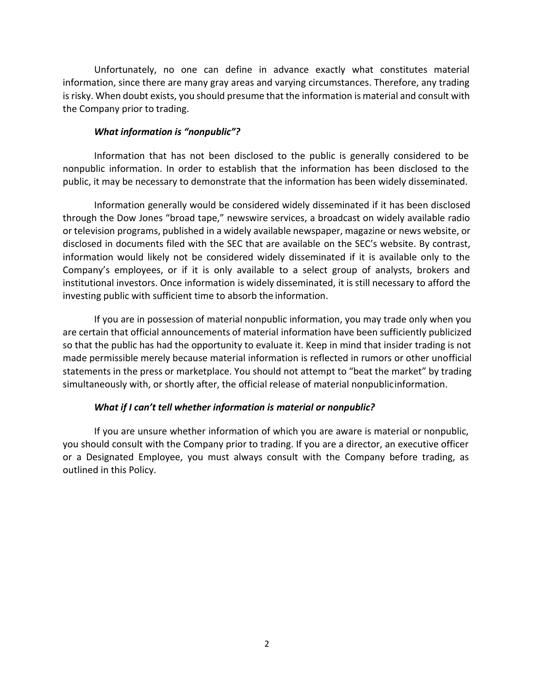Unfortunately, no one can define in advance exactly what constitutes material information, since there are many gray areas and varying circumstances. Therefore, any trading is risky. When doubt exists, you should presume that the information is material and consult with the Company prior to trading.

#### *What information is "nonpublic"?*

Information that has not been disclosed to the public is generally considered to be nonpublic information. In order to establish that the information has been disclosed to the public, it may be necessary to demonstrate that the information has been widely disseminated.

Information generally would be considered widely disseminated if it has been disclosed through the Dow Jones "broad tape," newswire services, a broadcast on widely available radio or television programs, published in a widely available newspaper, magazine or news website, or disclosed in documents filed with the SEC that are available on the SEC's website. By contrast, information would likely not be considered widely disseminated if it is available only to the Company's employees, or if it is only available to a select group of analysts, brokers and institutional investors. Once information is widely disseminated, it is still necessary to afford the investing public with sufficient time to absorb the information.

If you are in possession of material nonpublic information, you may trade only when you are certain that official announcements of material information have been sufficiently publicized so that the public has had the opportunity to evaluate it. Keep in mind that insider trading is not made permissible merely because material information is reflected in rumors or other unofficial statements in the press or marketplace. You should not attempt to "beat the market" by trading simultaneously with, or shortly after, the official release of material nonpublicinformation.

#### *What if I can't tell whether information is material or nonpublic?*

If you are unsure whether information of which you are aware is material or nonpublic, you should consult with the Company prior to trading. If you are a director, an executive officer or a Designated Employee, you must always consult with the Company before trading, as outlined in this Policy.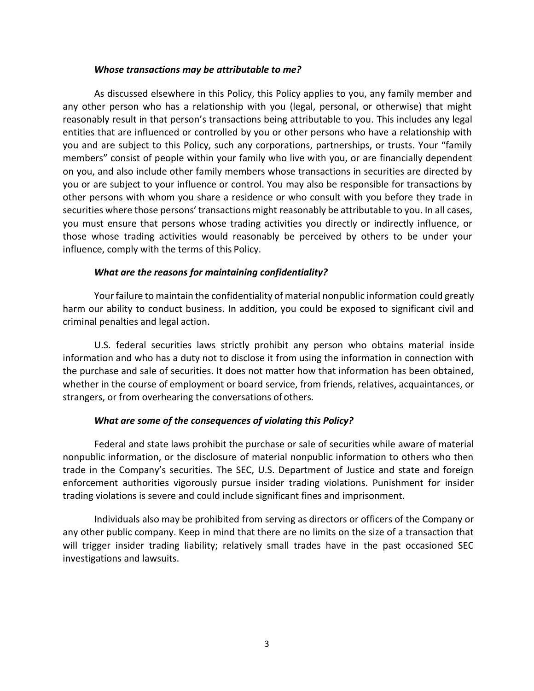### *Whose transactions may be attributable to me?*

As discussed elsewhere in this Policy, this Policy applies to you, any family member and any other person who has a relationship with you (legal, personal, or otherwise) that might reasonably result in that person's transactions being attributable to you. This includes any legal entities that are influenced or controlled by you or other persons who have a relationship with you and are subject to this Policy, such any corporations, partnerships, or trusts. Your "family members" consist of people within your family who live with you, or are financially dependent on you, and also include other family members whose transactions in securities are directed by you or are subject to your influence or control. You may also be responsible for transactions by other persons with whom you share a residence or who consult with you before they trade in securities where those persons' transactions might reasonably be attributable to you. In all cases, you must ensure that persons whose trading activities you directly or indirectly influence, or those whose trading activities would reasonably be perceived by others to be under your influence, comply with the terms of this Policy.

## *What are the reasons for maintaining confidentiality?*

Yourfailure to maintain the confidentiality of material nonpublic information could greatly harm our ability to conduct business. In addition, you could be exposed to significant civil and criminal penalties and legal action.

U.S. federal securities laws strictly prohibit any person who obtains material inside information and who has a duty not to disclose it from using the information in connection with the purchase and sale of securities. It does not matter how that information has been obtained, whether in the course of employment or board service, from friends, relatives, acquaintances, or strangers, or from overhearing the conversations of others.

# *What are some of the consequences of violating this Policy?*

Federal and state laws prohibit the purchase or sale of securities while aware of material nonpublic information, or the disclosure of material nonpublic information to others who then trade in the Company's securities. The SEC, U.S. Department of Justice and state and foreign enforcement authorities vigorously pursue insider trading violations. Punishment for insider trading violations is severe and could include significant fines and imprisonment.

Individuals also may be prohibited from serving as directors or officers of the Company or any other public company. Keep in mind that there are no limits on the size of a transaction that will trigger insider trading liability; relatively small trades have in the past occasioned SEC investigations and lawsuits.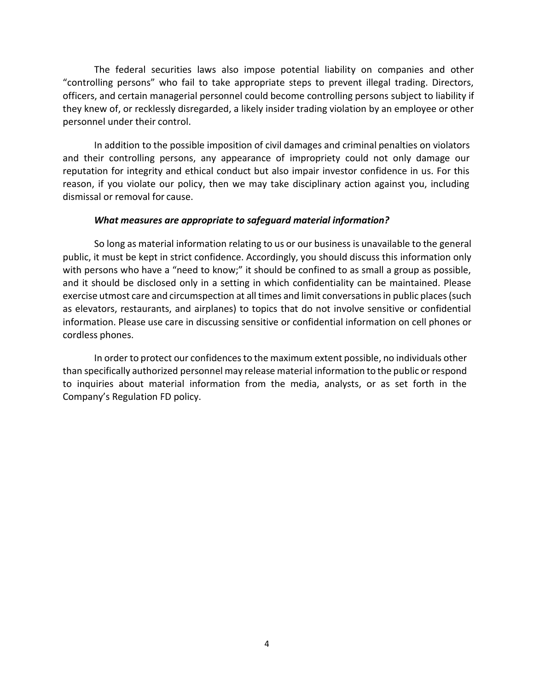The federal securities laws also impose potential liability on companies and other "controlling persons" who fail to take appropriate steps to prevent illegal trading. Directors, officers, and certain managerial personnel could become controlling persons subject to liability if they knew of, or recklessly disregarded, a likely insider trading violation by an employee or other personnel under their control.

In addition to the possible imposition of civil damages and criminal penalties on violators and their controlling persons, any appearance of impropriety could not only damage our reputation for integrity and ethical conduct but also impair investor confidence in us. For this reason, if you violate our policy, then we may take disciplinary action against you, including dismissal or removal for cause.

### *What measures are appropriate to safeguard material information?*

So long as material information relating to us or our business is unavailable to the general public, it must be kept in strict confidence. Accordingly, you should discuss this information only with persons who have a "need to know;" it should be confined to as small a group as possible, and it should be disclosed only in a setting in which confidentiality can be maintained. Please exercise utmost care and circumspection at all times and limit conversations in public places (such as elevators, restaurants, and airplanes) to topics that do not involve sensitive or confidential information. Please use care in discussing sensitive or confidential information on cell phones or cordless phones.

In order to protect our confidences to the maximum extent possible, no individuals other than specifically authorized personnel may release material information to the public or respond to inquiries about material information from the media, analysts, or as set forth in the Company's Regulation FD policy.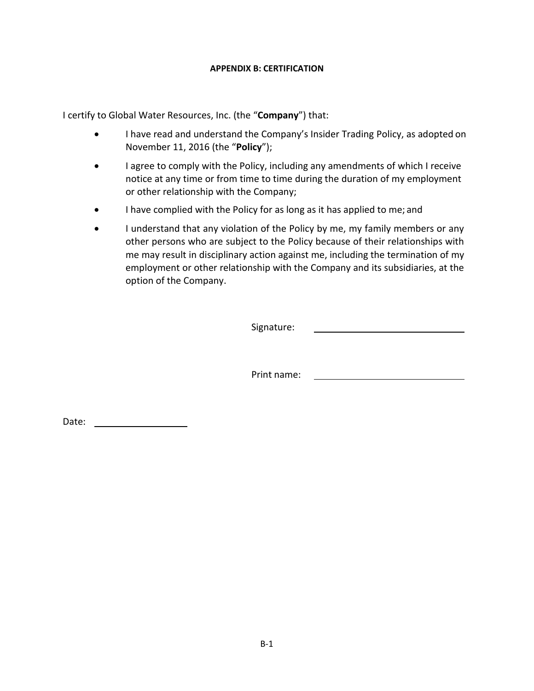#### **APPENDIX B: CERTIFICATION**

I certify to Global Water Resources, Inc. (the "**Company**") that:

- I have read and understand the Company's Insider Trading Policy, as adopted on November 11, 2016 (the "**Policy**");
- I agree to comply with the Policy, including any amendments of which I receive notice at any time or from time to time during the duration of my employment or other relationship with the Company;
- I have complied with the Policy for as long as it has applied to me; and
- I understand that any violation of the Policy by me, my family members or any other persons who are subject to the Policy because of their relationships with me may result in disciplinary action against me, including the termination of my employment or other relationship with the Company and its subsidiaries, at the option of the Company.

Signature:

Print name:

Date: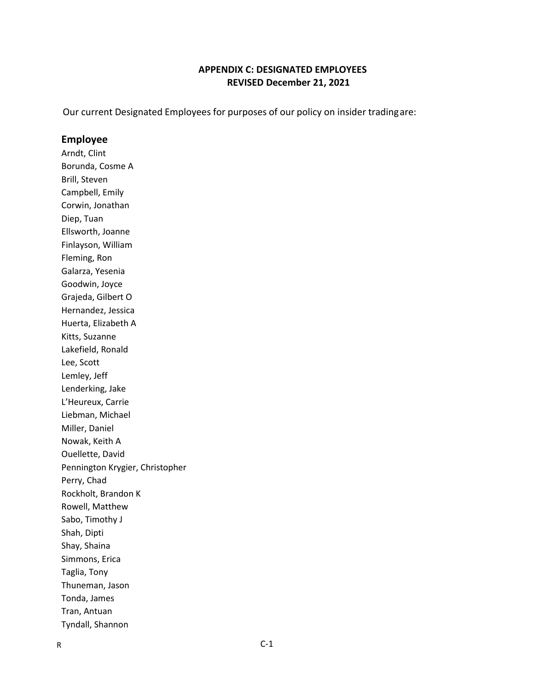## **APPENDIX C: DESIGNATED EMPLOYEES REVISED December 21, 2021**

Our current Designated Employees for purposes of our policy on insider tradingare:

#### **Employee**

Arndt, Clint Borunda, Cosme A Brill, Steven Campbell, Emily Corwin, Jonathan Diep, Tuan Ellsworth, Joanne Finlayson, William Fleming, Ron Galarza, Yesenia Goodwin, Joyce Grajeda, Gilbert O Hernandez, Jessica Huerta, Elizabeth A Kitts, Suzanne Lakefield, Ronald Lee, Scott Lemley, Jeff Lenderking, Jake L'Heureux, Carrie Liebman, Michael Miller, Daniel Nowak, Keith A Ouellette, David Pennington Krygier, Christopher Perry, Chad Rockholt, Brandon K Rowell, Matthew Sabo, Timothy J Shah, Dipti Shay, Shaina Simmons, Erica Taglia, Tony Thuneman, Jason Tonda, James Tran, Antuan Tyndall, Shannon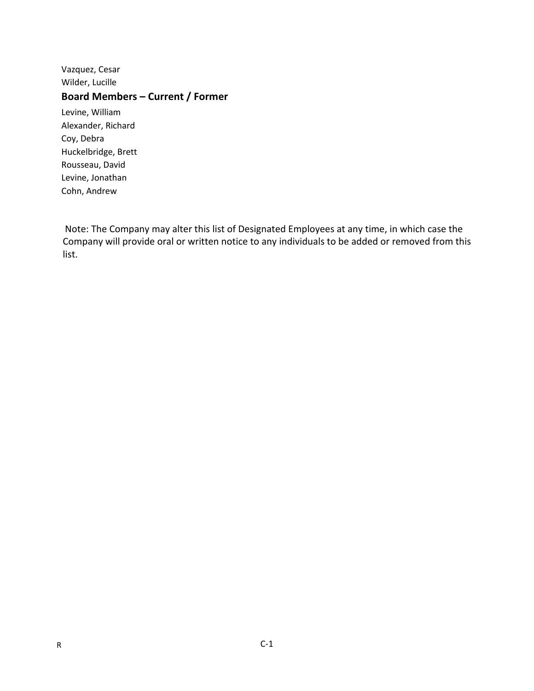Vazquez, Cesar Wilder, Lucille

# **Board Members – Current / Former**

Levine, William Alexander, Richard Coy, Debra Huckelbridge, Brett Rousseau, David Levine, Jonathan Cohn, Andrew

Note: The Company may alter this list of Designated Employees at any time, in which case the Company will provide oral or written notice to any individuals to be added or removed from this list.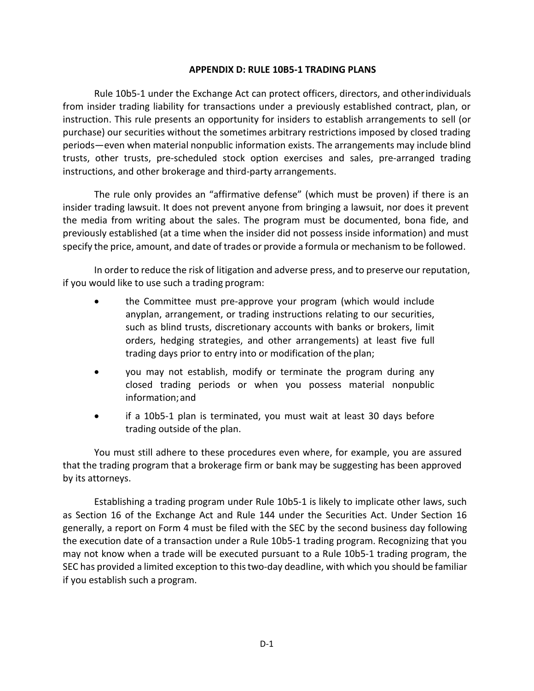### **APPENDIX D: RULE 10B5‐1 TRADING PLANS**

Rule 10b5‐1 under the Exchange Act can protect officers, directors, and otherindividuals from insider trading liability for transactions under a previously established contract, plan, or instruction. This rule presents an opportunity for insiders to establish arrangements to sell (or purchase) our securities without the sometimes arbitrary restrictions imposed by closed trading periods—even when material nonpublic information exists. The arrangements may include blind trusts, other trusts, pre‐scheduled stock option exercises and sales, pre‐arranged trading instructions, and other brokerage and third‐party arrangements.

The rule only provides an "affirmative defense" (which must be proven) if there is an insider trading lawsuit. It does not prevent anyone from bringing a lawsuit, nor does it prevent the media from writing about the sales. The program must be documented, bona fide, and previously established (at a time when the insider did not possess inside information) and must specify the price, amount, and date of trades or provide a formula or mechanism to be followed.

In order to reduce the risk of litigation and adverse press, and to preserve our reputation, if you would like to use such a trading program:

- the Committee must pre-approve your program (which would include anyplan, arrangement, or trading instructions relating to our securities, such as blind trusts, discretionary accounts with banks or brokers, limit orders, hedging strategies, and other arrangements) at least five full trading days prior to entry into or modification of the plan;
- you may not establish, modify or terminate the program during any closed trading periods or when you possess material nonpublic information;and
- if a 10b5-1 plan is terminated, you must wait at least 30 days before trading outside of the plan.

You must still adhere to these procedures even where, for example, you are assured that the trading program that a brokerage firm or bank may be suggesting has been approved by its attorneys.

Establishing a trading program under Rule 10b5‐1 is likely to implicate other laws, such as Section 16 of the Exchange Act and Rule 144 under the Securities Act. Under Section 16 generally, a report on Form 4 must be filed with the SEC by the second business day following the execution date of a transaction under a Rule 10b5‐1 trading program. Recognizing that you may not know when a trade will be executed pursuant to a Rule 10b5‐1 trading program, the SEC has provided a limited exception to this two-day deadline, with which you should be familiar if you establish such a program.